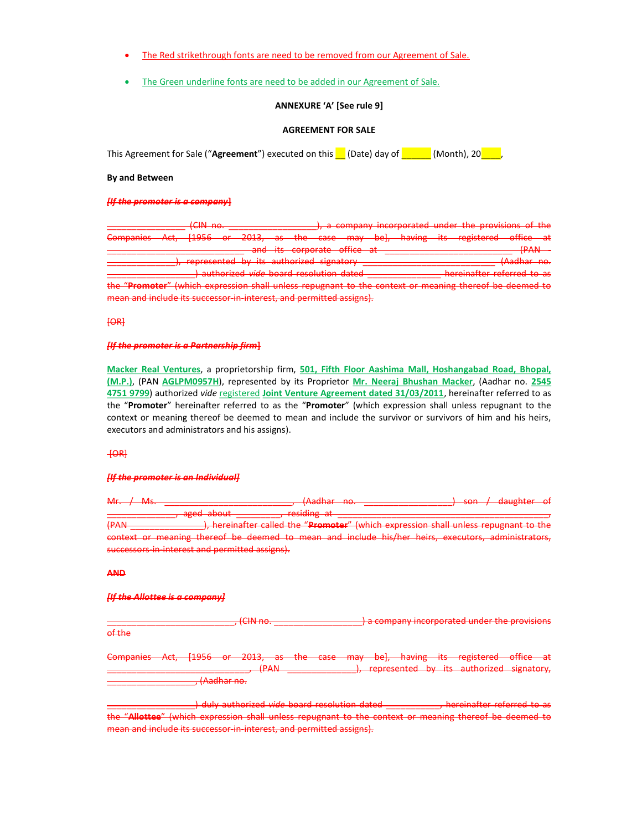- The Red strikethrough fonts are need to be removed from our Agreement of Sale.
- The Green underline fonts are need to be added in our Agreement of Sale.

### ANNEXURE 'A' [See rule 9]

### AGREEMENT FOR SALE

This Agreement for Sale ("Agreement") executed on this  $\blacksquare$  (Date) day of  $\blacksquare$  (Month), 20 $\blacksquare$ 

### By and Between

[If the promoter is a company]

|                                                                                                        |  | $\sqrt{(100 - 20)^2}$<br><del>.</del>   |  |                                        |  |  |  |                             |  | - A company incorporated under the provisions of the |                                             |  |
|--------------------------------------------------------------------------------------------------------|--|-----------------------------------------|--|----------------------------------------|--|--|--|-----------------------------|--|------------------------------------------------------|---------------------------------------------|--|
| Companies Act, [1956 or 2013, as the case may be], having its registered office at                     |  |                                         |  |                                        |  |  |  |                             |  |                                                      |                                             |  |
|                                                                                                        |  |                                         |  |                                        |  |  |  | and its corporate office at |  |                                                      | (PAN                                        |  |
|                                                                                                        |  | represented by its authorized signatory |  |                                        |  |  |  |                             |  |                                                      | $\Lambda$ adhar no<br><del>Maunai no.</del> |  |
|                                                                                                        |  |                                         |  | authorized vide hoard resolution dated |  |  |  |                             |  | hereinafter referred to as                           |                                             |  |
| the "Promoter" (which expression shall unless repugnant to the context or meaning thereof be deemed to |  |                                         |  |                                        |  |  |  |                             |  |                                                      |                                             |  |
| mean and include its successor in interest, and permitted assigns).                                    |  |                                         |  |                                        |  |  |  |                             |  |                                                      |                                             |  |

[OR]

# [If the promoter is a Partnership firm]

Macker Real Ventures, a proprietorship firm, 501, Fifth Floor Aashima Mall, Hoshangabad Road, Bhopal, (M.P.), (PAN AGLPM0957H), represented by its Proprietor Mr. Neeraj Bhushan Macker, (Aadhar no. 2545 4751 9799) authorized vide registered Joint Venture Agreement dated 31/03/2011, hereinafter referred to as the "Promoter" hereinafter referred to as the "Promoter" (which expression shall unless repugnant to the context or meaning thereof be deemed to mean and include the survivor or survivors of him and his heirs, executors and administrators and his assigns).

### $+**OR**$

#### **IIf the promoter is an Individuall**

Mr. / Ms. \_\_\_\_\_\_\_\_\_\_\_\_\_\_\_\_\_\_\_\_\_\_\_\_\_\_, (Aadhar no. \_\_\_\_\_\_\_\_\_\_\_\_\_\_\_\_\_\_) son / daughter of

aged about \_\_\_\_\_\_\_\_\_\_\_\_, residing at (PAN \_\_\_\_\_\_\_\_\_\_\_\_\_\_\_\_\_\_\_\_\_), hereinafter called the "Promoter" (which expression shall unless repugnant to the context or meaning thereof be deemed to mean and include his/her heirs, executors, administrators, successors-in-interest and permitted assigns).

#### AND

#### [If the Allottee is a company]

\_\_\_\_\_\_\_\_\_\_\_\_\_\_\_\_\_\_\_\_\_\_\_\_\_\_, (CIN no. \_\_\_\_\_\_\_\_\_\_\_\_\_\_\_\_\_\_) a company incorporated under the provisions of the

Companies Act, [1956 or 2013, as the case may be], having its registered office at \_\_\_\_\_\_\_\_\_\_\_\_\_\_\_\_\_\_\_\_\_\_\_\_\_\_\_\_\_, (PAN \_\_\_\_\_\_\_\_\_\_\_\_\_\_), represented by its authorized signatory, \_\_\_\_\_\_\_\_\_\_\_\_\_\_\_\_\_\_, (Aadhar no.

\_) duly authorized *vide* board resolution dated \_\_\_\_\_\_\_\_\_\_\_\_, hereinafter referred to as the "Allottee" (which expression shall unless repugnant to the context or meaning thereof be deemed to mean and include its successor-in-interest, and permitted assigns).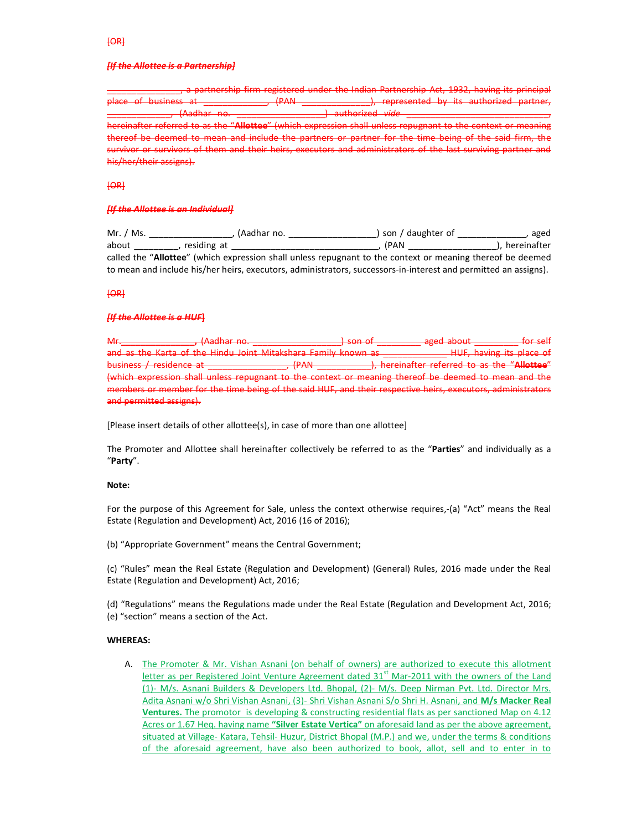#### [If the Allottee is a Partnership]

, a partnership firm registered under the Indian Partnership Act, 1932, having its princi place of business at \_\_\_\_\_\_\_\_\_\_\_\_\_, (PAN \_\_\_\_\_\_\_\_\_\_\_\_\_\_), represented by its authorized  $\frac{1}{2}$  (Aadhar no.  $\frac{1}{2}$  mathorized vide  $\frac{1}{2}$ hereinafter referred to as the "Allottee" (which expression shall unless repugnant to the context or meaning thereof be deemed to mean and include the partners or partner for the time being of the said firm, the survivor or survivors of them and their heirs, executors and administrators of the last surviving partner and his/her/their assigns).

### [OR]

#### [If the Allottee is an Individual]

Mr. / Ms. \_\_\_\_\_\_\_\_\_\_\_\_\_\_\_\_\_, (Aadhar no. \_\_\_\_\_\_\_\_\_\_\_\_\_\_\_\_\_\_) son / daughter of \_\_\_\_\_\_\_\_\_\_\_\_\_\_, aged about \_\_\_\_\_\_\_\_\_, residing at \_\_\_\_\_\_\_\_\_\_\_\_\_\_\_\_\_\_\_\_\_\_\_\_\_\_\_\_\_\_, (PAN \_\_\_\_\_\_\_\_\_\_\_\_\_\_\_\_\_\_), hereinafter called the "Allottee" (which expression shall unless repugnant to the context or meaning thereof be deemed to mean and include his/her heirs, executors, administrators, successors-in-interest and permitted an assigns).

# [OR]

# **IIf the Allottee is a HUFI**

Mr.\_\_\_\_\_\_\_\_\_\_\_\_\_\_\_, (Aadhar no. \_\_\_\_\_\_\_\_\_\_\_\_\_\_\_\_\_\_) son of \_\_\_\_\_\_\_\_\_ aged about \_\_\_\_\_\_\_\_\_ for self and as the Karta of the Hindu Joint Mitakshara Family known as **East Common HILL, having its place of** business / residence at \_\_\_\_\_\_\_\_\_\_\_\_\_\_\_\_\_, (PAN \_\_\_\_\_\_\_\_\_\_\_\_\_\_), hereinafter referred to as the "Allottee" (which expression shall unless repugnant to the context or meaning thereof be deemed to mean and the members or member for the time being of the said HUF, and their respective heirs, executors, administrators and permitted assigns).

[Please insert details of other allottee(s), in case of more than one allottee]

The Promoter and Allottee shall hereinafter collectively be referred to as the "Parties" and individually as a "Party".

#### Note:

For the purpose of this Agreement for Sale, unless the context otherwise requires,-(a) "Act" means the Real Estate (Regulation and Development) Act, 2016 (16 of 2016);

(b) "Appropriate Government" means the Central Government;

(c) "Rules" mean the Real Estate (Regulation and Development) (General) Rules, 2016 made under the Real Estate (Regulation and Development) Act, 2016;

(d) "Regulations" means the Regulations made under the Real Estate (Regulation and Development Act, 2016; (e) "section" means a section of the Act.

# WHEREAS:

A. The Promoter & Mr. Vishan Asnani (on behalf of owners) are authorized to execute this allotment letter as per Registered Joint Venture Agreement dated 31<sup>st</sup> Mar-2011 with the owners of the Land (1)- M/s. Asnani Builders & Developers Ltd. Bhopal, (2)- M/s. Deep Nirman Pvt. Ltd. Director Mrs. Adita Asnani w/o Shri Vishan Asnani, (3)- Shri Vishan Asnani S/o Shri H. Asnani, and M/s Macker Real Ventures. The promotor is developing & constructing residential flats as per sanctioned Map on 4.12 Acres or 1.67 Heq. having name "Silver Estate Vertica" on aforesaid land as per the above agreement, situated at Village- Katara, Tehsil- Huzur, District Bhopal (M.P.) and we, under the terms & conditions of the aforesaid agreement, have also been authorized to book, allot, sell and to enter in to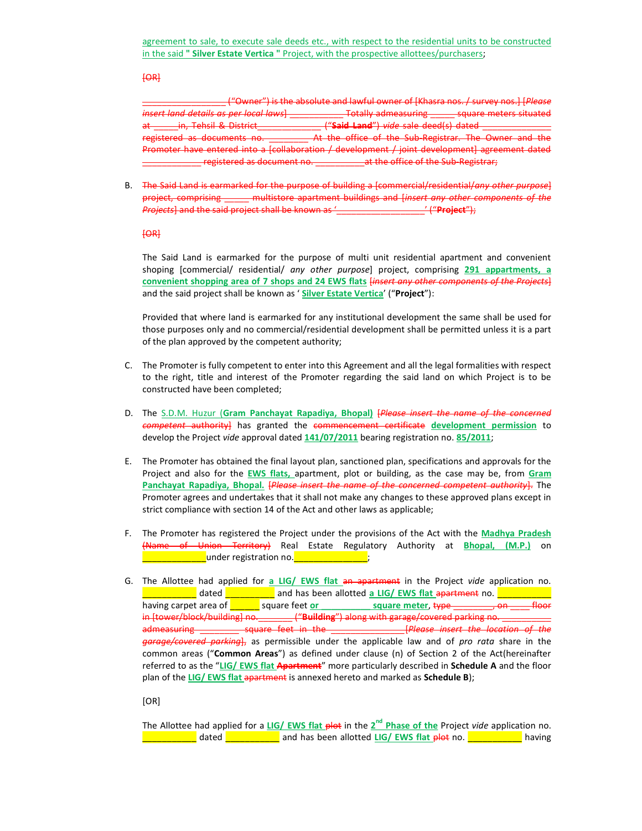#### $[OR]$

\_\_\_\_\_\_\_\_\_\_\_\_\_\_\_\_\_ ("Owner") is the absolute and lawful owner of [Khasra nos. / survey nos.] [Please insert land details as per local laws] \_\_\_\_\_\_\_\_\_\_\_ Totally admeasuring \_\_\_\_\_ square meters situated at \_\_\_\_\_in, Tehsil & District\_\_\_\_\_\_\_\_\_\_\_\_\_\_\_\_ ("Said Land") vide sale deed(s) dated \_\_\_\_\_\_\_\_ registered as documents no. \_\_\_\_\_\_\_\_\_\_ At the office of the Sub-Registrar. The Owner and the Promoter have entered into a [collaboration / development / joint development] agreement dated registered as document no. \_\_\_\_\_\_\_\_\_\_\_\_\_\_at the office of the Sub-Registrar;

B. The Said Land is earmarked for the purpose of building a [commercial/residential/any other purpose] project, comprising \_\_\_\_\_ multistore apartment buildings and [insert any other components of the Projects] and the said project shall be known as '\_\_\_\_\_\_\_\_\_\_\_\_\_\_\_\_\_\_\_\_' ("Project");

 $[OR]$ 

The Said Land is earmarked for the purpose of multi unit residential apartment and convenient shoping [commercial/ residential/ any other purpose] project, comprising 291 appartments, a convenient shopping area of 7 shops and 24 EWS flats *linsert any other components of the Projects* and the said project shall be known as ' Silver Estate Vertica' ("Project"):

Provided that where land is earmarked for any institutional development the same shall be used for those purposes only and no commercial/residential development shall be permitted unless it is a part of the plan approved by the competent authority;

- C. The Promoter is fully competent to enter into this Agreement and all the legal formalities with respect to the right, title and interest of the Promoter regarding the said land on which Project is to be constructed have been completed;
- D. The S.D.M. Huzur (Gram Panchayat Rapadiya, Bhopal) [Please insert the name of the concerned competent authority] has granted the commencement certificate development permission to develop the Project vide approval dated 141/07/2011 bearing registration no. 85/2011;
- E. The Promoter has obtained the final layout plan, sanctioned plan, specifications and approvals for the Project and also for the EWS flats, apartment, plot or building, as the case may be, from Gram Panchayat Rapadiya, Bhopal. [Please insert the name of the concerned competent authority]. The Promoter agrees and undertakes that it shall not make any changes to these approved plans except in strict compliance with section 14 of the Act and other laws as applicable;
- F. The Promoter has registered the Project under the provisions of the Act with the Madhya Pradesh (Name of Union Territory) Real Estate Regulatory Authority at Bhopal, (M.P.) on \_\_\_\_\_\_\_\_\_\_\_\_\_under registration no.\_\_\_\_\_\_\_\_\_\_\_\_\_\_\_;
- G. The Allottee had applied for a LIG/ EWS flat an apartment in the Project vide application no. **\_\_\_\_\_\_\_\_\_\_** dated \_\_\_\_\_\_\_\_ and has been allotted <u>a LIG/ EWS flat apartment</u> no. <u>\_\_\_\_\_</u>\_\_\_\_\_ having carpet area of  $\boxed{\underline{\hspace{1cm}}}$  square feet or \_\_\_\_\_\_\_\_\_\_ square meter, type \_\_\_\_\_\_\_, on \_\_\_ in [tower/block/building] no. \_\_\_\_\_\_\_\_ ("Building") along with garage/covered parking no. \_\_\_\_\_\_\_\_ admeasuring \_\_\_\_\_\_\_\_ square feet in the \_\_\_\_\_\_\_\_\_\_\_\_\_\_\_[Please insert the location of the garage/covered parking], as permissible under the applicable law and of pro rata share in the common areas ("Common Areas") as defined under clause (n) of Section 2 of the Act(hereinafter referred to as the "LIG/ EWS flat Apartment" more particularly described in Schedule A and the floor plan of the LIG/ EWS flat apartment is annexed hereto and marked as Schedule B);

[OR]

The Allottee had applied for a LIG/EWS flat plot in the 2<sup>nd</sup> Phase of the Project vide application no. \_\_\_\_\_\_\_\_\_\_\_ dated \_\_\_\_\_\_\_\_\_\_\_ and has been allotted LIG/ EWS flat plot no. \_\_\_\_\_\_\_\_\_\_\_ having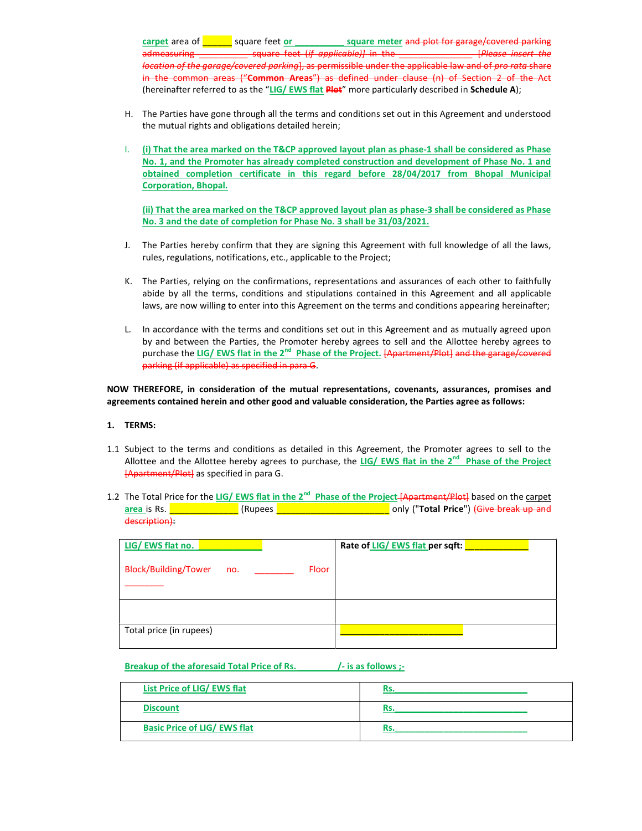carpet area of \_\_\_\_\_\_ square feet or \_\_\_\_\_\_\_\_\_\_ square meter and plot for garage/covered parking square feet (if applicable)] in the location of the garage/covered parking], as permissible under the applicable law and of pro rata share in the common areas ("Common Areas") as defined under clause (n) of Section 2 of the (hereinafter referred to as the "LIG/ EWS flat Plot" more particularly described in Schedule A);

- H. The Parties have gone through all the terms and conditions set out in this Agreement and understood the mutual rights and obligations detailed herein;
- I. (i) That the area marked on the T&CP approved layout plan as phase-1 shall be considered as Phase No. 1, and the Promoter has already completed construction and development of Phase No. 1 and obtained completion certificate in this regard before 28/04/2017 from Bhopal Municipal Corporation, Bhopal.

(ii) That the area marked on the T&CP approved layout plan as phase-3 shall be considered as Phase No. 3 and the date of completion for Phase No. 3 shall be 31/03/2021.

- J. The Parties hereby confirm that they are signing this Agreement with full knowledge of all the laws, rules, regulations, notifications, etc., applicable to the Project;
- K. The Parties, relying on the confirmations, representations and assurances of each other to faithfully abide by all the terms, conditions and stipulations contained in this Agreement and all applicable laws, are now willing to enter into this Agreement on the terms and conditions appearing hereinafter;
- L. In accordance with the terms and conditions set out in this Agreement and as mutually agreed upon by and between the Parties, the Promoter hereby agrees to sell and the Allottee hereby agrees to purchase the LIG/ EWS flat in the 2<sup>nd</sup> Phase of the Project. [Apartment/Plot] and the garage/covered parking (if applicable) as specified in para G.

NOW THEREFORE, in consideration of the mutual representations, covenants, assurances, promises and agreements contained herein and other good and valuable consideration, the Parties agree as follows:

#### 1. TERMS:

- 1.1 Subject to the terms and conditions as detailed in this Agreement, the Promoter agrees to sell to the Allottee and the Allottee hereby agrees to purchase, the LIG/ EWS flat in the 2<sup>nd</sup> Phase of the Project [Apartment/Plot] as specified in para G.
- 1.2 The Total Price for the LIG/ EWS flat in the 2<sup>nd</sup> Phase of the Project-[Apartment/Plot] based on the carpet area is Rs. **Exercise 2. All and Structure Constantines area is Rs.**  $\overline{a}$  and  $\overline{b}$  (Rupees  $\overline{a}$  and  $\overline{b}$  and  $\overline{b}$  and  $\overline{a}$  and  $\overline{b}$  and  $\overline{a}$  and  $\overline{b}$  and  $\overline{a}$  and  $\overline{a}$  and  $\overline{a$ description):

| LIG/EWS flat no.                   |       | Rate of LIG/ EWS flat per sqft: |
|------------------------------------|-------|---------------------------------|
| <b>Block/Building/Tower</b><br>no. | Floor |                                 |
|                                    |       |                                 |
| Total price (in rupees)            |       |                                 |

# Breakup of the aforesaid Total Price of Rs. [15] /- is as follows ;-

| List Price of LIG/ EWS flat         | ĸs. |
|-------------------------------------|-----|
| <b>Discount</b>                     | ĸs. |
| <b>Basic Price of LIG/ EWS flat</b> |     |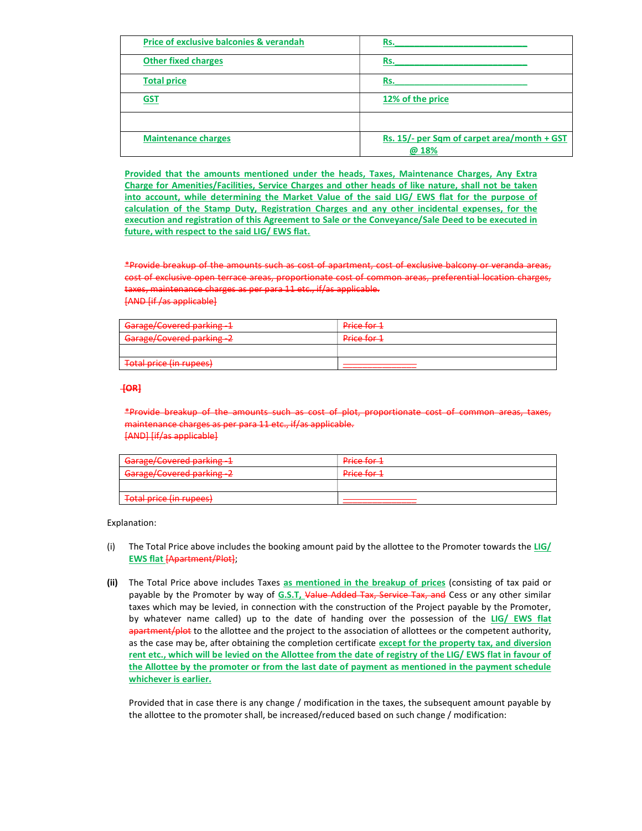| <b>Price of exclusive balconies &amp; verandah</b> | Rs.                                                 |
|----------------------------------------------------|-----------------------------------------------------|
| <b>Other fixed charges</b>                         | Rs.                                                 |
| <b>Total price</b>                                 | Rs.                                                 |
| <b>GST</b>                                         | 12% of the price                                    |
|                                                    |                                                     |
| <b>Maintenance charges</b>                         | Rs. 15/- per Sqm of carpet area/month + GST<br>@18% |

Provided that the amounts mentioned under the heads, Taxes, Maintenance Charges, Any Extra Charge for Amenities/Facilities, Service Charges and other heads of like nature, shall not be taken into account, while determining the Market Value of the said LIG/ EWS flat for the purpose of calculation of the Stamp Duty, Registration Charges and any other incidental expenses, for the execution and registration of this Agreement to Sale or the Conveyance/Sale Deed to be executed in future, with respect to the said LIG/ EWS flat.

\*Provide breakup of the amounts such as cost of apartment, cost of exclusive balcony or veranda areas, cost of exclusive open terrace areas, proportionate cost of common areas, preferential location charges, taxes, maintenance charges as per para 11 etc., if/as applicable. [AND [if /as applicable]

| Garage/Covered parking -1<br><del>dalage/covered parking -</del> | Price for 1 |
|------------------------------------------------------------------|-------------|
| Garage/Covered narking -2<br><del>darage/covered parking 2</del> | Price for 1 |
|                                                                  |             |
| Total price (in runged)<br><del>TULAI pHCC (III TUDCCS)</del>    |             |

# [OR]

\*Provide breakup of the amounts such as cost of plot, proportionate cost of common areas, taxes, maintenance charges as per para 11 etc., if/as applicable. [AND] [if/as applicable]

| Garage/Covered parking-1                                        | Price for 1                         |
|-----------------------------------------------------------------|-------------------------------------|
| Carago/Covered parking 2<br><del>darage/covered parking 2</del> | Drico for 1<br><del>rnce ivrz</del> |
|                                                                 |                                     |
| Total price (in runges)<br><del>Toldi price (III Tupees)</del>  |                                     |

Explanation:

- (i) The Total Price above includes the booking amount paid by the allottee to the Promoter towards the LIG/ EWS flat [Apartment/Plot];
- (ii) The Total Price above includes Taxes as mentioned in the breakup of prices (consisting of tax paid or payable by the Promoter by way of G.S.T, Value Added Tax, Service Tax, and Cess or any other similar taxes which may be levied, in connection with the construction of the Project payable by the Promoter, by whatever name called) up to the date of handing over the possession of the LIG/ EWS flat apartment/plot to the allottee and the project to the association of allottees or the competent authority, as the case may be, after obtaining the completion certificate except for the property tax, and diversion rent etc., which will be levied on the Allottee from the date of registry of the LIG/ EWS flat in favour of the Allottee by the promoter or from the last date of payment as mentioned in the payment schedule whichever is earlier.

Provided that in case there is any change / modification in the taxes, the subsequent amount payable by the allottee to the promoter shall, be increased/reduced based on such change / modification: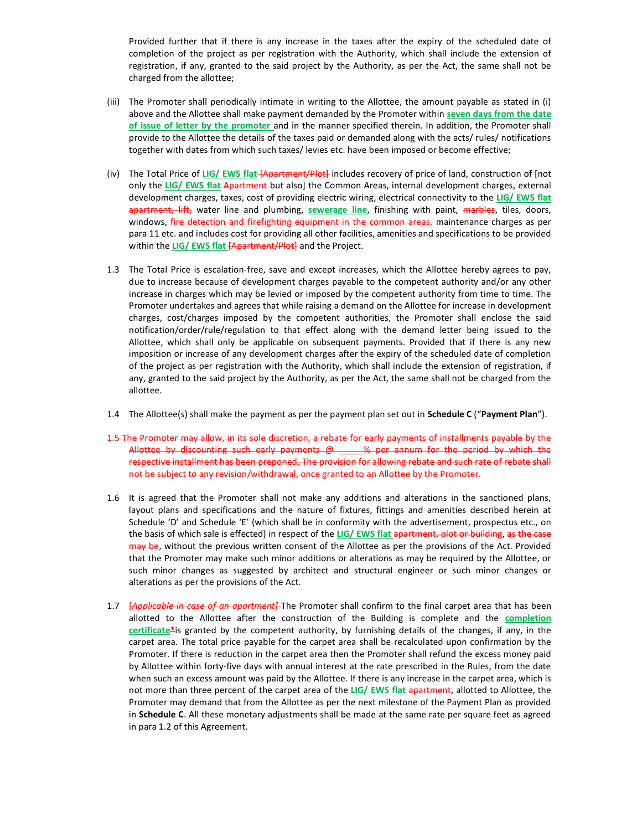Provided further that if there is any increase in the taxes after the expiry of the scheduled date of completion of the project as per registration with the Authority, which shall include the extension of registration, if any, granted to the said project by the Authority, as per the Act, the same shall not be charged from the allottee;

- (iii) The Promoter shall periodically intimate in writing to the Allottee, the amount payable as stated in (i) above and the Allottee shall make payment demanded by the Promoter within seven days from the date of issue of letter by the promoter and in the manner specified therein. In addition, the Promoter shall provide to the Allottee the details of the taxes paid or demanded along with the acts/ rules/ notifications together with dates from which such taxes/ levies etc. have been imposed or become effective;
- (iv) The Total Price of LIG/ EWS flat [Apartment/Plot] includes recovery of price of land, construction of [not only the LIG/ EWS flat Apartment but also] the Common Areas, internal development charges, external development charges, taxes, cost of providing electric wiring, electrical connectivity to the LIG/ EWS flat apartment, lift, water line and plumbing, sewerage line, finishing with paint, marbles, tiles, doors, windows, fire detection and firefighting equipment in the common areas, maintenance charges as per para 11 etc. and includes cost for providing all other facilities, amenities and specifications to be provided within the LIG/ EWS flat [Apartment/Plot] and the Project.
- 1.3 The Total Price is escalation-free, save and except increases, which the Allottee hereby agrees to pay, due to increase because of development charges payable to the competent authority and/or any other increase in charges which may be levied or imposed by the competent authority from time to time. The Promoter undertakes and agrees that while raising a demand on the Allottee for increase in development charges, cost/charges imposed by the competent authorities, the Promoter shall enclose the said notification/order/rule/regulation to that effect along with the demand letter being issued to the Allottee, which shall only be applicable on subsequent payments. Provided that if there is any new imposition or increase of any development charges after the expiry of the scheduled date of completion of the project as per registration with the Authority, which shall include the extension of registration, if any, granted to the said project by the Authority, as per the Act, the same shall not be charged from the allottee.
- 1.4 The Allottee(s) shall make the payment as per the payment plan set out in **Schedule C** ("Payment Plan").
- 1.5 The Promoter may allow, in its sole discretion, a rebate for early payments of installments payable by the Allottee by discounting such early payments @ \_\_\_\_\_% per annum for the period by which the respective installment has been preponed. The provision for allowing rebate and such rate of rebate shall not be subject to any revision/withdrawal, once granted to an Allottee by the Promoter.
- 1.6 It is agreed that the Promoter shall not make any additions and alterations in the sanctioned plans, layout plans and specifications and the nature of fixtures, fittings and amenities described herein at Schedule 'D' and Schedule 'E' (which shall be in conformity with the advertisement, prospectus etc., on the basis of which sale is effected) in respect of the LIG/ EWS flat apartment, plot or building, as the case may be, without the previous written consent of the Allottee as per the provisions of the Act. Provided that the Promoter may make such minor additions or alterations as may be required by the Allottee, or such minor changes as suggested by architect and structural engineer or such minor changes or alterations as per the provisions of the Act.
- 1.7 [Applicable in case of an apartment] The Promoter shall confirm to the final carpet area that has been allotted to the Allottee after the construction of the Building is complete and the **completion** certificate $*$ is granted by the competent authority, by furnishing details of the changes, if any, in the carpet area. The total price payable for the carpet area shall be recalculated upon confirmation by the Promoter. If there is reduction in the carpet area then the Promoter shall refund the excess money paid by Allottee within forty-five days with annual interest at the rate prescribed in the Rules, from the date when such an excess amount was paid by the Allottee. If there is any increase in the carpet area, which is not more than three percent of the carpet area of the LIG/ EWS flat apartment, allotted to Allottee, the Promoter may demand that from the Allottee as per the next milestone of the Payment Plan as provided in Schedule C. All these monetary adjustments shall be made at the same rate per square feet as agreed in para 1.2 of this Agreement.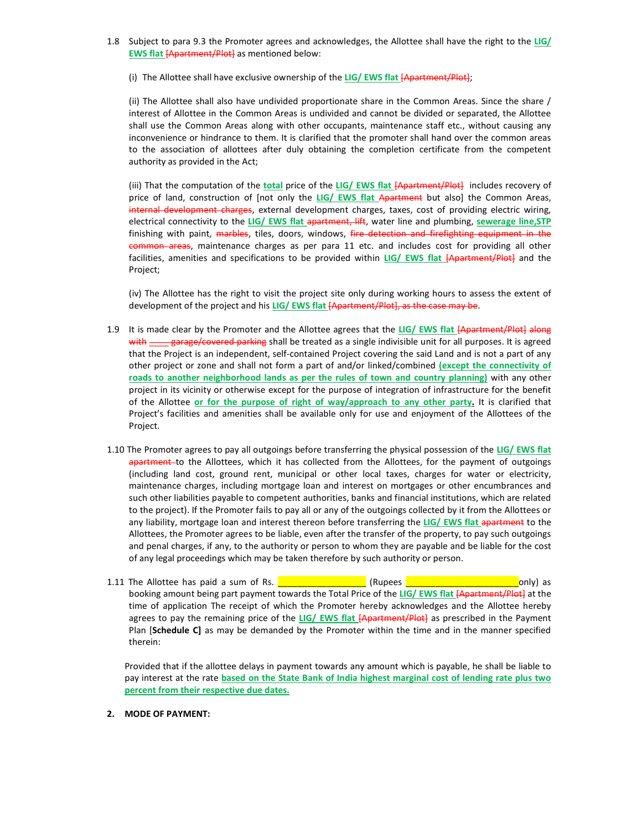- 1.8 Subject to para 9.3 the Promoter agrees and acknowledges, the Allottee shall have the right to the LIG/ EWS flat [Apartment/Plot] as mentioned below:
	- (i) The Allottee shall have exclusive ownership of the LIG/ EWS flat  $[Apartment/Plot]$ ;

(ii) The Allottee shall also have undivided proportionate share in the Common Areas. Since the share / interest of Allottee in the Common Areas is undivided and cannot be divided or separated, the Allottee shall use the Common Areas along with other occupants, maintenance staff etc., without causing any inconvenience or hindrance to them. It is clarified that the promoter shall hand over the common areas to the association of allottees after duly obtaining the completion certificate from the competent authority as provided in the Act;

(iii) That the computation of the total price of the LIG/ EWS flat [Apartment/Plot] includes recovery of price of land, construction of [not only the LIG/ EWS flat Apartment but also] the Common Areas, internal development charges, external development charges, taxes, cost of providing electric wiring, electrical connectivity to the LIG/ EWS flat apartment, lift, water line and plumbing, sewerage line, STP finishing with paint, marbles, tiles, doors, windows, fire detection and firefighting equipment in the common areas, maintenance charges as per para 11 etc. and includes cost for providing all other facilities, amenities and specifications to be provided within LIG/ EWS flat [Apartment/Plot] and the Project;

(iv) The Allottee has the right to visit the project site only during working hours to assess the extent of development of the project and his LIG/ EWS flat [Apartment/Plot], as the case may be.

- 1.9 It is made clear by the Promoter and the Allottee agrees that the LIG/ EWS flat [Apartment/Plot] along with \_\_\_\_ garage/covered parking shall be treated as a single indivisible unit for all purposes. It is agreed that the Project is an independent, self-contained Project covering the said Land and is not a part of any other project or zone and shall not form a part of and/or linked/combined (except the connectivity of roads to another neighborhood lands as per the rules of town and country planning) with any other project in its vicinity or otherwise except for the purpose of integration of infrastructure for the benefit of the Allottee or for the purpose of right of way/approach to any other party. It is clarified that Project's facilities and amenities shall be available only for use and enjoyment of the Allottees of the Project.
- 1.10 The Promoter agrees to pay all outgoings before transferring the physical possession of the LIG/ EWS flat apartment to the Allottees, which it has collected from the Allottees, for the payment of outgoings (including land cost, ground rent, municipal or other local taxes, charges for water or electricity, maintenance charges, including mortgage loan and interest on mortgages or other encumbrances and such other liabilities payable to competent authorities, banks and financial institutions, which are related to the project). If the Promoter fails to pay all or any of the outgoings collected by it from the Allottees or any liability, mortgage loan and interest thereon before transferring the LIG/ EWS flat apartment to the Allottees, the Promoter agrees to be liable, even after the transfer of the property, to pay such outgoings and penal charges, if any, to the authority or person to whom they are payable and be liable for the cost of any legal proceedings which may be taken therefore by such authority or person.
- 1.11 The Allottee has paid a sum of Rs. \_\_\_\_\_\_\_\_\_\_\_\_\_\_\_\_\_\_ (Rupees \_\_\_\_\_\_\_\_\_\_\_\_\_\_\_\_\_\_\_\_\_\_\_only) as booking amount being part payment towards the Total Price of the LIG/ EWS flat [Apartment/Plot] at the time of application The receipt of which the Promoter hereby acknowledges and the Allottee hereby agrees to pay the remaining price of the LIG/ EWS flat [Apartment/Plot] as prescribed in the Payment Plan [Schedule C] as may be demanded by the Promoter within the time and in the manner specified therein:

Provided that if the allottee delays in payment towards any amount which is payable, he shall be liable to pay interest at the rate **based on the State Bank of India highest marginal cost of lending rate plus two** percent from their respective due dates.

### 2. MODE OF PAYMENT: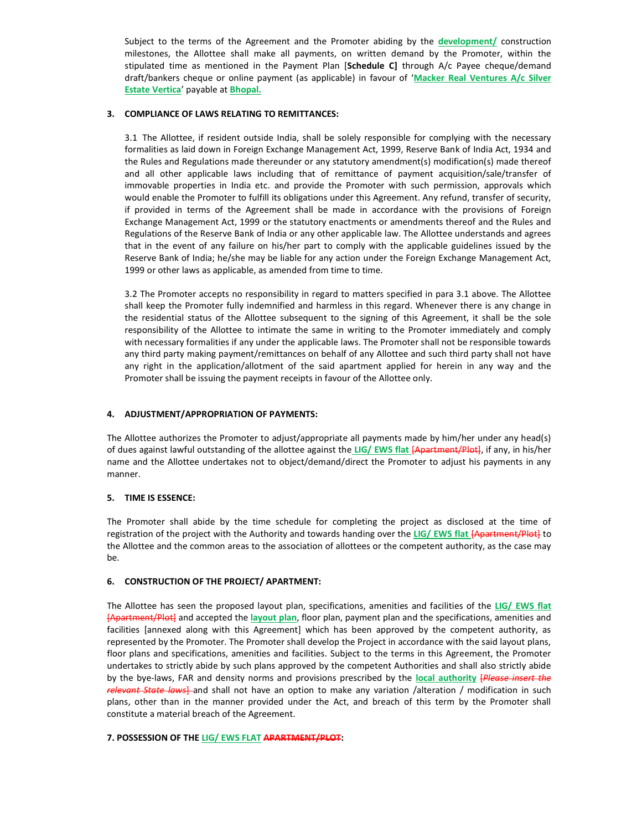Subject to the terms of the Agreement and the Promoter abiding by the **development**/ construction milestones, the Allottee shall make all payments, on written demand by the Promoter, within the stipulated time as mentioned in the Payment Plan [Schedule C] through A/c Payee cheque/demand draft/bankers cheque or online payment (as applicable) in favour of 'Macker Real Ventures A/c Silver Estate Vertica' payable at Bhopal.

# 3. COMPLIANCE OF LAWS RELATING TO REMITTANCES:

3.1 The Allottee, if resident outside India, shall be solely responsible for complying with the necessary formalities as laid down in Foreign Exchange Management Act, 1999, Reserve Bank of India Act, 1934 and the Rules and Regulations made thereunder or any statutory amendment(s) modification(s) made thereof and all other applicable laws including that of remittance of payment acquisition/sale/transfer of immovable properties in India etc. and provide the Promoter with such permission, approvals which would enable the Promoter to fulfill its obligations under this Agreement. Any refund, transfer of security, if provided in terms of the Agreement shall be made in accordance with the provisions of Foreign Exchange Management Act, 1999 or the statutory enactments or amendments thereof and the Rules and Regulations of the Reserve Bank of India or any other applicable law. The Allottee understands and agrees that in the event of any failure on his/her part to comply with the applicable guidelines issued by the Reserve Bank of India; he/she may be liable for any action under the Foreign Exchange Management Act, 1999 or other laws as applicable, as amended from time to time.

3.2 The Promoter accepts no responsibility in regard to matters specified in para 3.1 above. The Allottee shall keep the Promoter fully indemnified and harmless in this regard. Whenever there is any change in the residential status of the Allottee subsequent to the signing of this Agreement, it shall be the sole responsibility of the Allottee to intimate the same in writing to the Promoter immediately and comply with necessary formalities if any under the applicable laws. The Promoter shall not be responsible towards any third party making payment/remittances on behalf of any Allottee and such third party shall not have any right in the application/allotment of the said apartment applied for herein in any way and the Promoter shall be issuing the payment receipts in favour of the Allottee only.

# 4. ADJUSTMENT/APPROPRIATION OF PAYMENTS:

The Allottee authorizes the Promoter to adjust/appropriate all payments made by him/her under any head(s) of dues against lawful outstanding of the allottee against the LIG/ EWS flat [Apartment/Plot], if any, in his/her name and the Allottee undertakes not to object/demand/direct the Promoter to adjust his payments in any manner.

# 5. TIME IS ESSENCE:

The Promoter shall abide by the time schedule for completing the project as disclosed at the time of registration of the project with the Authority and towards handing over the LIG/ EWS flat [Apartment/Plot] to the Allottee and the common areas to the association of allottees or the competent authority, as the case may be.

# 6. CONSTRUCTION OF THE PROJECT/ APARTMENT:

The Allottee has seen the proposed layout plan, specifications, amenities and facilities of the LIG/ EWS flat [Apartment/Plot] and accepted the layout plan, floor plan, payment plan and the specifications, amenities and facilities [annexed along with this Agreement] which has been approved by the competent authority, as represented by the Promoter. The Promoter shall develop the Project in accordance with the said layout plans, floor plans and specifications, amenities and facilities. Subject to the terms in this Agreement, the Promoter undertakes to strictly abide by such plans approved by the competent Authorities and shall also strictly abide by the bye-laws, FAR and density norms and provisions prescribed by the local authority [Please insert the relevant State laws] and shall not have an option to make any variation /alteration / modification in such plans, other than in the manner provided under the Act, and breach of this term by the Promoter shall constitute a material breach of the Agreement.

# 7. POSSESSION OF THE LIG/ EWS FLAT APARTMENT/PLOT: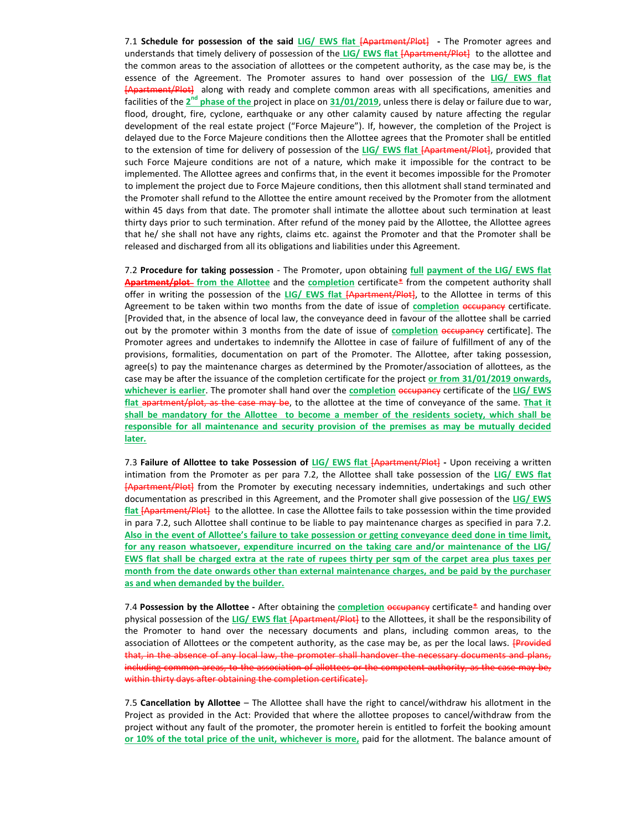7.1 Schedule for possession of the said LIG/ EWS flat [Apartment/Plot] - The Promoter agrees and understands that timely delivery of possession of the LIG/ EWS flat [Apartment/Plot] to the allottee and the common areas to the association of allottees or the competent authority, as the case may be, is the essence of the Agreement. The Promoter assures to hand over possession of the LIG/ EWS flat [Apartment/Plot] along with ready and complete common areas with all specifications, amenities and facilities of the 2<sup>nd</sup> phase of the project in place on 31/01/2019, unless there is delay or failure due to war, flood, drought, fire, cyclone, earthquake or any other calamity caused by nature affecting the regular development of the real estate project ("Force Majeure"). If, however, the completion of the Project is delayed due to the Force Majeure conditions then the Allottee agrees that the Promoter shall be entitled to the extension of time for delivery of possession of the LIG/ EWS flat [Apartment/Plot], provided that such Force Majeure conditions are not of a nature, which make it impossible for the contract to be implemented. The Allottee agrees and confirms that, in the event it becomes impossible for the Promoter to implement the project due to Force Majeure conditions, then this allotment shall stand terminated and the Promoter shall refund to the Allottee the entire amount received by the Promoter from the allotment within 45 days from that date. The promoter shall intimate the allottee about such termination at least thirty days prior to such termination. After refund of the money paid by the Allottee, the Allottee agrees that he/ she shall not have any rights, claims etc. against the Promoter and that the Promoter shall be released and discharged from all its obligations and liabilities under this Agreement.

7.2 Procedure for taking possession - The Promoter, upon obtaining full payment of the LIG/ EWS flat Apartment/plot from the Allottee and the completion certificate\* from the competent authority shall offer in writing the possession of the LIG/ EWS flat [Apartment/Plot], to the Allottee in terms of this Agreement to be taken within two months from the date of issue of completion occupancy certificate. [Provided that, in the absence of local law, the conveyance deed in favour of the allottee shall be carried out by the promoter within 3 months from the date of issue of completion occupancy certificate]. The Promoter agrees and undertakes to indemnify the Allottee in case of failure of fulfillment of any of the provisions, formalities, documentation on part of the Promoter. The Allottee, after taking possession, agree(s) to pay the maintenance charges as determined by the Promoter/association of allottees, as the case may be after the issuance of the completion certificate for the project or from 31/01/2019 onwards, whichever is earlier. The promoter shall hand over the completion occupancy certificate of the LIG/ EWS flat apartment/plot, as the case may be, to the allottee at the time of conveyance of the same. That it shall be mandatory for the Allottee to become a member of the residents society, which shall be responsible for all maintenance and security provision of the premises as may be mutually decided later.

7.3 Failure of Allottee to take Possession of LIG/ EWS flat [Apartment/Plot] - Upon receiving a written intimation from the Promoter as per para 7.2, the Allottee shall take possession of the LIG/ EWS flat [Apartment/Plot] from the Promoter by executing necessary indemnities, undertakings and such other documentation as prescribed in this Agreement, and the Promoter shall give possession of the LIG/ EWS flat [Apartment/Plot] to the allottee. In case the Allottee fails to take possession within the time provided in para 7.2, such Allottee shall continue to be liable to pay maintenance charges as specified in para 7.2. Also in the event of Allottee's failure to take possession or getting conveyance deed done in time limit, for any reason whatsoever, expenditure incurred on the taking care and/or maintenance of the LIG/ EWS flat shall be charged extra at the rate of rupees thirty per sqm of the carpet area plus taxes per month from the date onwards other than external maintenance charges, and be paid by the purchaser as and when demanded by the builder.

7.4 Possession by the Allottee - After obtaining the completion  $o$  eccupancy certificate\* and handing over physical possession of the LIG/ EWS flat [Apartment/Plot] to the Allottees, it shall be the responsibility of the Promoter to hand over the necessary documents and plans, including common areas, to the association of Allottees or the competent authority, as the case may be, as per the local laws. **[Provided** that, in the absence of any local law, the promoter shall handover the necessary documents and plans, including common areas, to the association of allottees or the competent authority, as the case may be, within thirty days after obtaining the completion certificate].

7.5 Cancellation by Allottee – The Allottee shall have the right to cancel/withdraw his allotment in the Project as provided in the Act: Provided that where the allottee proposes to cancel/withdraw from the project without any fault of the promoter, the promoter herein is entitled to forfeit the booking amount or 10% of the total price of the unit, whichever is more, paid for the allotment. The balance amount of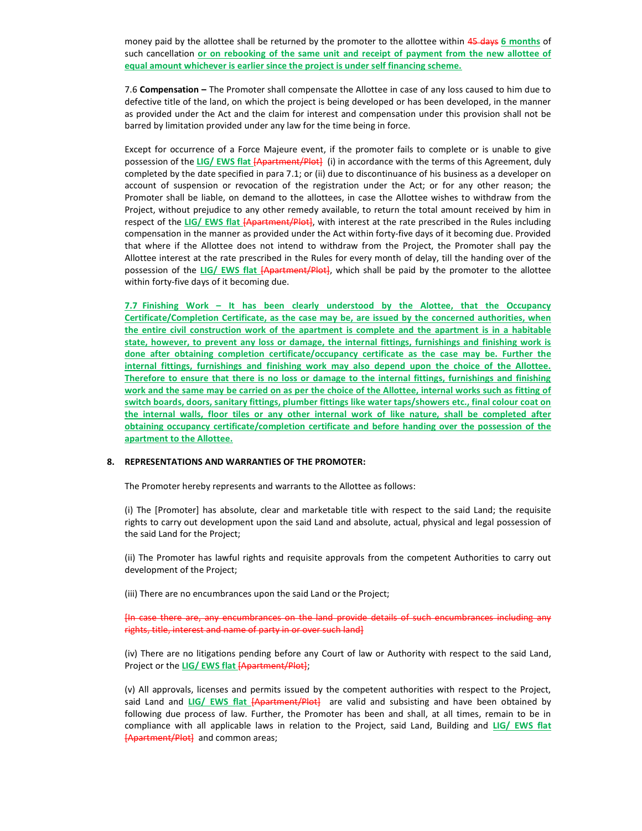money paid by the allottee shall be returned by the promoter to the allottee within 45 days 6 months of such cancellation or on rebooking of the same unit and receipt of payment from the new allottee of equal amount whichever is earlier since the project is under self financing scheme.

7.6 Compensation – The Promoter shall compensate the Allottee in case of any loss caused to him due to defective title of the land, on which the project is being developed or has been developed, in the manner as provided under the Act and the claim for interest and compensation under this provision shall not be barred by limitation provided under any law for the time being in force.

Except for occurrence of a Force Majeure event, if the promoter fails to complete or is unable to give possession of the LIG/ EWS flat [Apartment/Plot] (i) in accordance with the terms of this Agreement, duly completed by the date specified in para 7.1; or (ii) due to discontinuance of his business as a developer on account of suspension or revocation of the registration under the Act; or for any other reason; the Promoter shall be liable, on demand to the allottees, in case the Allottee wishes to withdraw from the Project, without prejudice to any other remedy available, to return the total amount received by him in respect of the LIG/ EWS flat [Apartment/Plot], with interest at the rate prescribed in the Rules including compensation in the manner as provided under the Act within forty-five days of it becoming due. Provided that where if the Allottee does not intend to withdraw from the Project, the Promoter shall pay the Allottee interest at the rate prescribed in the Rules for every month of delay, till the handing over of the possession of the LIG/ EWS flat [Apartment/Plot], which shall be paid by the promoter to the allottee within forty-five days of it becoming due.

7.7 Finishing Work – It has been clearly understood by the Alottee, that the Occupancy Certificate/Completion Certificate, as the case may be, are issued by the concerned authorities, when the entire civil construction work of the apartment is complete and the apartment is in a habitable state, however, to prevent any loss or damage, the internal fittings, furnishings and finishing work is done after obtaining completion certificate/occupancy certificate as the case may be. Further the internal fittings, furnishings and finishing work may also depend upon the choice of the Allottee. Therefore to ensure that there is no loss or damage to the internal fittings, furnishings and finishing work and the same may be carried on as per the choice of the Allottee, internal works such as fitting of switch boards, doors, sanitary fittings, plumber fittings like water taps/showers etc., final colour coat on the internal walls, floor tiles or any other internal work of like nature, shall be completed after obtaining occupancy certificate/completion certificate and before handing over the possession of the apartment to the Allottee.

# 8. REPRESENTATIONS AND WARRANTIES OF THE PROMOTER:

The Promoter hereby represents and warrants to the Allottee as follows:

(i) The [Promoter] has absolute, clear and marketable title with respect to the said Land; the requisite rights to carry out development upon the said Land and absolute, actual, physical and legal possession of the said Land for the Project;

(ii) The Promoter has lawful rights and requisite approvals from the competent Authorities to carry out development of the Project;

(iii) There are no encumbrances upon the said Land or the Project;

[In case there are, any encumbrances on the land provide details of such encumbrances including any rights, title, interest and name of party in or over such land]

(iv) There are no litigations pending before any Court of law or Authority with respect to the said Land, Project or the LIG/ EWS flat [Apartment/Plot];

(v) All approvals, licenses and permits issued by the competent authorities with respect to the Project, said Land and LIG/ EWS flat [Apartment/Plot] are valid and subsisting and have been obtained by following due process of law. Further, the Promoter has been and shall, at all times, remain to be in compliance with all applicable laws in relation to the Project, said Land, Building and LIG/ EWS flat [Apartment/Plot] and common areas;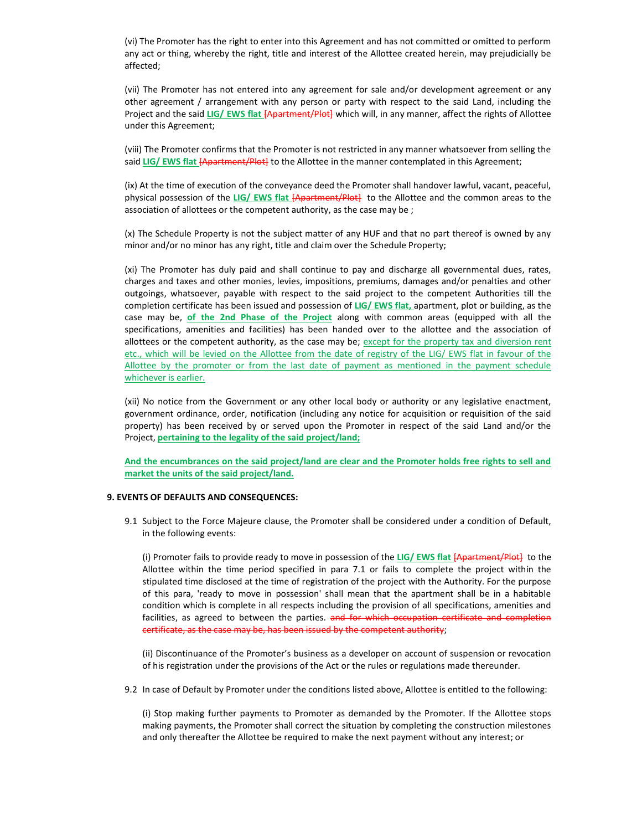(vi) The Promoter has the right to enter into this Agreement and has not committed or omitted to perform any act or thing, whereby the right, title and interest of the Allottee created herein, may prejudicially be affected;

(vii) The Promoter has not entered into any agreement for sale and/or development agreement or any other agreement / arrangement with any person or party with respect to the said Land, including the Project and the said LIG/ EWS flat [Apartment/Plot] which will, in any manner, affect the rights of Allottee under this Agreement;

(viii) The Promoter confirms that the Promoter is not restricted in any manner whatsoever from selling the said LIG/ EWS flat **[Apartment/Plot]** to the Allottee in the manner contemplated in this Agreement;

(ix) At the time of execution of the conveyance deed the Promoter shall handover lawful, vacant, peaceful, physical possession of the LIG/ EWS flat [Apartment/Plot] to the Allottee and the common areas to the association of allottees or the competent authority, as the case may be ;

(x) The Schedule Property is not the subject matter of any HUF and that no part thereof is owned by any minor and/or no minor has any right, title and claim over the Schedule Property;

(xi) The Promoter has duly paid and shall continue to pay and discharge all governmental dues, rates, charges and taxes and other monies, levies, impositions, premiums, damages and/or penalties and other outgoings, whatsoever, payable with respect to the said project to the competent Authorities till the completion certificate has been issued and possession of LIG/ EWS flat, apartment, plot or building, as the case may be, of the 2nd Phase of the Project along with common areas (equipped with all the specifications, amenities and facilities) has been handed over to the allottee and the association of allottees or the competent authority, as the case may be; except for the property tax and diversion rent etc., which will be levied on the Allottee from the date of registry of the LIG/ EWS flat in favour of the Allottee by the promoter or from the last date of payment as mentioned in the payment schedule whichever is earlier.

(xii) No notice from the Government or any other local body or authority or any legislative enactment, government ordinance, order, notification (including any notice for acquisition or requisition of the said property) has been received by or served upon the Promoter in respect of the said Land and/or the Project, pertaining to the legality of the said project/land;

And the encumbrances on the said project/land are clear and the Promoter holds free rights to sell and market the units of the said project/land.

# 9. EVENTS OF DEFAULTS AND CONSEQUENCES:

9.1 Subject to the Force Majeure clause, the Promoter shall be considered under a condition of Default, in the following events:

(i) Promoter fails to provide ready to move in possession of the LIG/ EWS flat [Apartment/Plot] to the Allottee within the time period specified in para 7.1 or fails to complete the project within the stipulated time disclosed at the time of registration of the project with the Authority. For the purpose of this para, 'ready to move in possession' shall mean that the apartment shall be in a habitable condition which is complete in all respects including the provision of all specifications, amenities and facilities, as agreed to between the parties. and for which occupation certificate and completion certificate, as the case may be, has been issued by the competent authority;

(ii) Discontinuance of the Promoter's business as a developer on account of suspension or revocation of his registration under the provisions of the Act or the rules or regulations made thereunder.

9.2 In case of Default by Promoter under the conditions listed above, Allottee is entitled to the following:

(i) Stop making further payments to Promoter as demanded by the Promoter. If the Allottee stops making payments, the Promoter shall correct the situation by completing the construction milestones and only thereafter the Allottee be required to make the next payment without any interest; or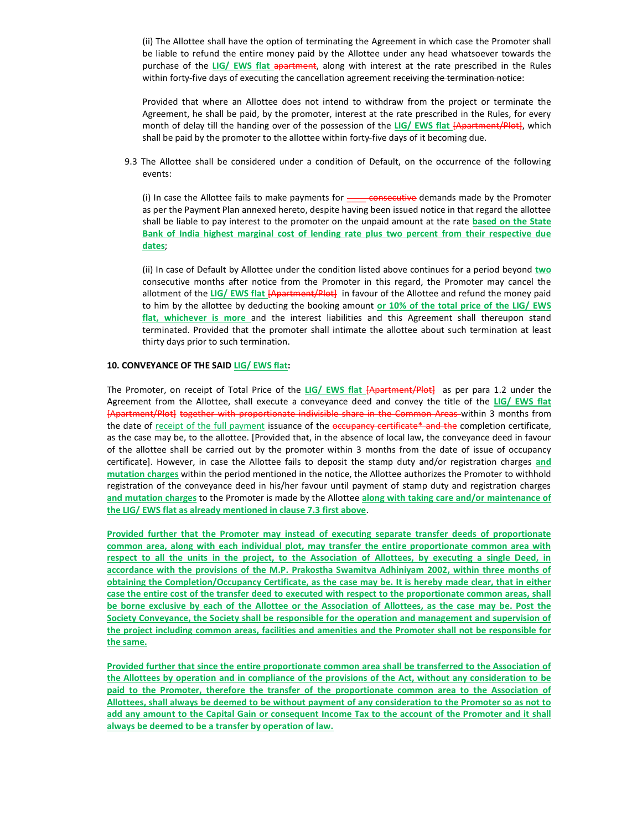(ii) The Allottee shall have the option of terminating the Agreement in which case the Promoter shall be liable to refund the entire money paid by the Allottee under any head whatsoever towards the purchase of the LIG/ EWS flat apartment, along with interest at the rate prescribed in the Rules within forty-five days of executing the cancellation agreement receiving the termination notice:

Provided that where an Allottee does not intend to withdraw from the project or terminate the Agreement, he shall be paid, by the promoter, interest at the rate prescribed in the Rules, for every month of delay till the handing over of the possession of the LIG/ EWS flat [Apartment/Plot], which shall be paid by the promoter to the allottee within forty-five days of it becoming due.

9.3 The Allottee shall be considered under a condition of Default, on the occurrence of the following events:

(i) In case the Allottee fails to make payments for  $\frac{1}{1}$  consecutive demands made by the Promoter as per the Payment Plan annexed hereto, despite having been issued notice in that regard the allottee shall be liable to pay interest to the promoter on the unpaid amount at the rate based on the State Bank of India highest marginal cost of lending rate plus two percent from their respective due dates;

(ii) In case of Default by Allottee under the condition listed above continues for a period beyond two consecutive months after notice from the Promoter in this regard, the Promoter may cancel the allotment of the LIG/ EWS flat [Apartment/Plot] in favour of the Allottee and refund the money paid to him by the allottee by deducting the booking amount or 10% of the total price of the LIG/ EWS flat, whichever is more and the interest liabilities and this Agreement shall thereupon stand terminated. Provided that the promoter shall intimate the allottee about such termination at least thirty days prior to such termination.

# 10. CONVEYANCE OF THE SAID LIG/ EWS flat:

The Promoter, on receipt of Total Price of the LIG/ EWS flat [Apartment/Plot] as per para 1.2 under the Agreement from the Allottee, shall execute a conveyance deed and convey the title of the LIG/ EWS flat [Apartment/Plot] together with proportionate indivisible share in the Common Areas within 3 months from the date of receipt of the full payment issuance of the occupancy certificate\* and the completion certificate, as the case may be, to the allottee. [Provided that, in the absence of local law, the conveyance deed in favour of the allottee shall be carried out by the promoter within 3 months from the date of issue of occupancy certificate]. However, in case the Allottee fails to deposit the stamp duty and/or registration charges and mutation charges within the period mentioned in the notice, the Allottee authorizes the Promoter to withhold registration of the conveyance deed in his/her favour until payment of stamp duty and registration charges and mutation charges to the Promoter is made by the Allottee along with taking care and/or maintenance of the LIG/ EWS flat as already mentioned in clause 7.3 first above.

Provided further that the Promoter may instead of executing separate transfer deeds of proportionate common area, along with each individual plot, may transfer the entire proportionate common area with respect to all the units in the project, to the Association of Allottees, by executing a single Deed, in accordance with the provisions of the M.P. Prakostha Swamitva Adhiniyam 2002, within three months of obtaining the Completion/Occupancy Certificate, as the case may be. It is hereby made clear, that in either case the entire cost of the transfer deed to executed with respect to the proportionate common areas, shall be borne exclusive by each of the Allottee or the Association of Allottees, as the case may be. Post the Society Conveyance, the Society shall be responsible for the operation and management and supervision of the project including common areas, facilities and amenities and the Promoter shall not be responsible for the same.

Provided further that since the entire proportionate common area shall be transferred to the Association of the Allottees by operation and in compliance of the provisions of the Act, without any consideration to be paid to the Promoter, therefore the transfer of the proportionate common area to the Association of Allottees, shall always be deemed to be without payment of any consideration to the Promoter so as not to add any amount to the Capital Gain or consequent Income Tax to the account of the Promoter and it shall always be deemed to be a transfer by operation of law.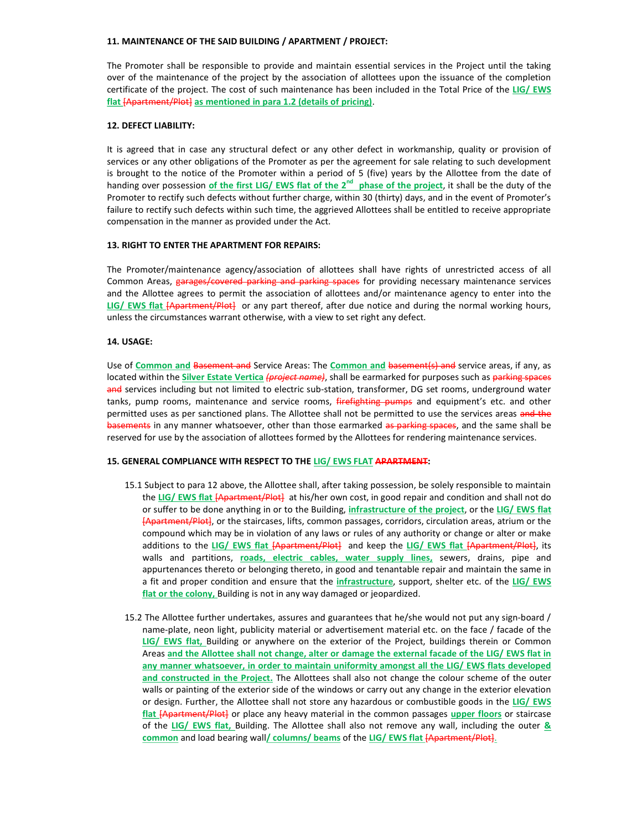### 11. MAINTENANCE OF THE SAID BUILDING / APARTMENT / PROJECT:

The Promoter shall be responsible to provide and maintain essential services in the Project until the taking over of the maintenance of the project by the association of allottees upon the issuance of the completion certificate of the project. The cost of such maintenance has been included in the Total Price of the LIG/ EWS flat [Apartment/Plot] as mentioned in para 1.2 (details of pricing).

# 12. DEFECT LIABILITY:

It is agreed that in case any structural defect or any other defect in workmanship, quality or provision of services or any other obligations of the Promoter as per the agreement for sale relating to such development is brought to the notice of the Promoter within a period of 5 (five) years by the Allottee from the date of handing over possession of the first LIG/ EWS flat of the  $2^{nd}$  phase of the project, it shall be the duty of the Promoter to rectify such defects without further charge, within 30 (thirty) days, and in the event of Promoter's failure to rectify such defects within such time, the aggrieved Allottees shall be entitled to receive appropriate compensation in the manner as provided under the Act.

# 13. RIGHT TO ENTER THE APARTMENT FOR REPAIRS:

The Promoter/maintenance agency/association of allottees shall have rights of unrestricted access of all Common Areas, garages/covered parking and parking spaces for providing necessary maintenance services and the Allottee agrees to permit the association of allottees and/or maintenance agency to enter into the LIG/ EWS flat [Apartment/Plot] or any part thereof, after due notice and during the normal working hours, unless the circumstances warrant otherwise, with a view to set right any defect.

# 14. USAGE:

Use of Common and Basement and Service Areas: The Common and basement(s) and service areas, if any, as located within the *Silver Estate Vertica (project name)*, shall be earmarked for purposes such as parking spaces and services including but not limited to electric sub-station, transformer, DG set rooms, underground water tanks, pump rooms, maintenance and service rooms, firefighting pumps and equipment's etc. and other permitted uses as per sanctioned plans. The Allottee shall not be permitted to use the services areas and the basements in any manner whatsoever, other than those earmarked as parking spaces, and the same shall be reserved for use by the association of allottees formed by the Allottees for rendering maintenance services.

#### 15. GENERAL COMPLIANCE WITH RESPECT TO THE LIG/ EWS FLAT APARTMENT:

- 15.1 Subject to para 12 above, the Allottee shall, after taking possession, be solely responsible to maintain the LIG/ EWS flat [Apartment/Plot] at his/her own cost, in good repair and condition and shall not do or suffer to be done anything in or to the Building, infrastructure of the project, or the LIG/ EWS flat [Apartment/Plot], or the staircases, lifts, common passages, corridors, circulation areas, atrium or the compound which may be in violation of any laws or rules of any authority or change or alter or make additions to the LIG/ EWS flat [Apartment/Plot] and keep the LIG/ EWS flat [Apartment/Plot], its walls and partitions, roads, electric cables, water supply lines, sewers, drains, pipe and appurtenances thereto or belonging thereto, in good and tenantable repair and maintain the same in a fit and proper condition and ensure that the infrastructure, support, shelter etc. of the LIG/ EWS flat or the colony, Building is not in any way damaged or jeopardized.
- 15.2 The Allottee further undertakes, assures and guarantees that he/she would not put any sign-board / name-plate, neon light, publicity material or advertisement material etc. on the face / facade of the LIG/ EWS flat, Building or anywhere on the exterior of the Project, buildings therein or Common Areas and the Allottee shall not change, alter or damage the external facade of the LIG/ EWS flat in any manner whatsoever, in order to maintain uniformity amongst all the LIG/ EWS flats developed and constructed in the Project. The Allottees shall also not change the colour scheme of the outer walls or painting of the exterior side of the windows or carry out any change in the exterior elevation or design. Further, the Allottee shall not store any hazardous or combustible goods in the LIG/ EWS flat [Apartment/Plot] or place any heavy material in the common passages upper floors or staircase of the LIG/ EWS flat, Building. The Allottee shall also not remove any wall, including the outer & common and load bearing wall/ columns/ beams of the LIG/ EWS flat [Apartment/Plot].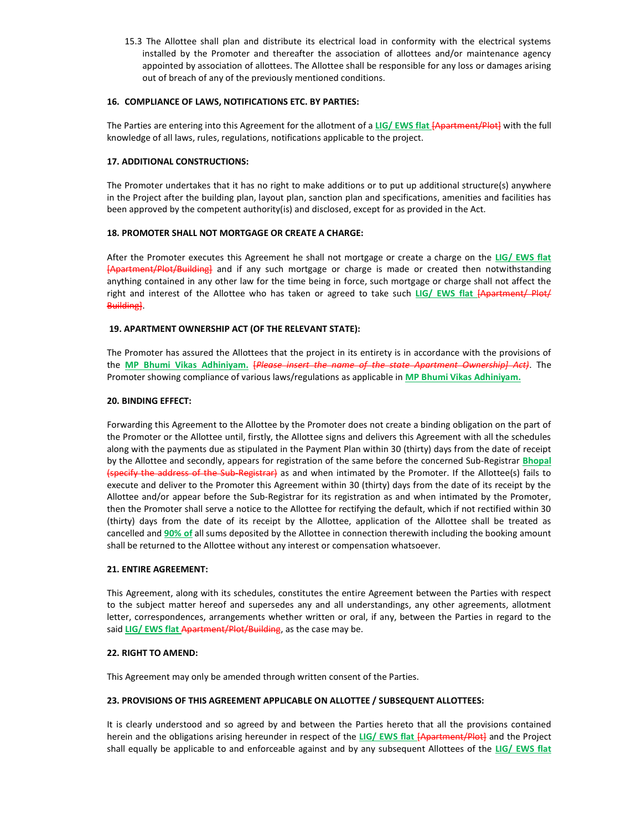15.3 The Allottee shall plan and distribute its electrical load in conformity with the electrical systems installed by the Promoter and thereafter the association of allottees and/or maintenance agency appointed by association of allottees. The Allottee shall be responsible for any loss or damages arising out of breach of any of the previously mentioned conditions.

# 16. COMPLIANCE OF LAWS, NOTIFICATIONS ETC. BY PARTIES:

The Parties are entering into this Agreement for the allotment of a LIG/ EWS flat [Apartment/Plot] with the full knowledge of all laws, rules, regulations, notifications applicable to the project.

# 17. ADDITIONAL CONSTRUCTIONS:

The Promoter undertakes that it has no right to make additions or to put up additional structure(s) anywhere in the Project after the building plan, layout plan, sanction plan and specifications, amenities and facilities has been approved by the competent authority(is) and disclosed, except for as provided in the Act.

# 18. PROMOTER SHALL NOT MORTGAGE OR CREATE A CHARGE:

After the Promoter executes this Agreement he shall not mortgage or create a charge on the LIG/ EWS flat [Apartment/Plot/Building] and if any such mortgage or charge is made or created then notwithstanding anything contained in any other law for the time being in force, such mortgage or charge shall not affect the right and interest of the Allottee who has taken or agreed to take such LIG/ EWS flat [Apartment/ Plot/ Building].

# 19. APARTMENT OWNERSHIP ACT (OF THE RELEVANT STATE):

The Promoter has assured the Allottees that the project in its entirety is in accordance with the provisions of the MP Bhumi Vikas Adhiniyam. [Please insert the name of the state Apartment Ownership] Act). The Promoter showing compliance of various laws/regulations as applicable in MP Bhumi Vikas Adhiniyam.

# 20. BINDING EFFECT:

Forwarding this Agreement to the Allottee by the Promoter does not create a binding obligation on the part of the Promoter or the Allottee until, firstly, the Allottee signs and delivers this Agreement with all the schedules along with the payments due as stipulated in the Payment Plan within 30 (thirty) days from the date of receipt by the Allottee and secondly, appears for registration of the same before the concerned Sub-Registrar **Bhopal** (specify the address of the Sub-Registrar) as and when intimated by the Promoter. If the Allottee(s) fails to execute and deliver to the Promoter this Agreement within 30 (thirty) days from the date of its receipt by the Allottee and/or appear before the Sub-Registrar for its registration as and when intimated by the Promoter, then the Promoter shall serve a notice to the Allottee for rectifying the default, which if not rectified within 30 (thirty) days from the date of its receipt by the Allottee, application of the Allottee shall be treated as cancelled and 90% of all sums deposited by the Allottee in connection therewith including the booking amount shall be returned to the Allottee without any interest or compensation whatsoever.

# 21. ENTIRE AGREEMENT:

This Agreement, along with its schedules, constitutes the entire Agreement between the Parties with respect to the subject matter hereof and supersedes any and all understandings, any other agreements, allotment letter, correspondences, arrangements whether written or oral, if any, between the Parties in regard to the said LIG/ EWS flat Apartment/Plot/Building, as the case may be.

# 22. RIGHT TO AMEND:

This Agreement may only be amended through written consent of the Parties.

# 23. PROVISIONS OF THIS AGREEMENT APPLICABLE ON ALLOTTEE / SUBSEQUENT ALLOTTEES:

It is clearly understood and so agreed by and between the Parties hereto that all the provisions contained herein and the obligations arising hereunder in respect of the LIG/ EWS flat [Apartment/Plot] and the Project shall equally be applicable to and enforceable against and by any subsequent Allottees of the LIG/ EWS flat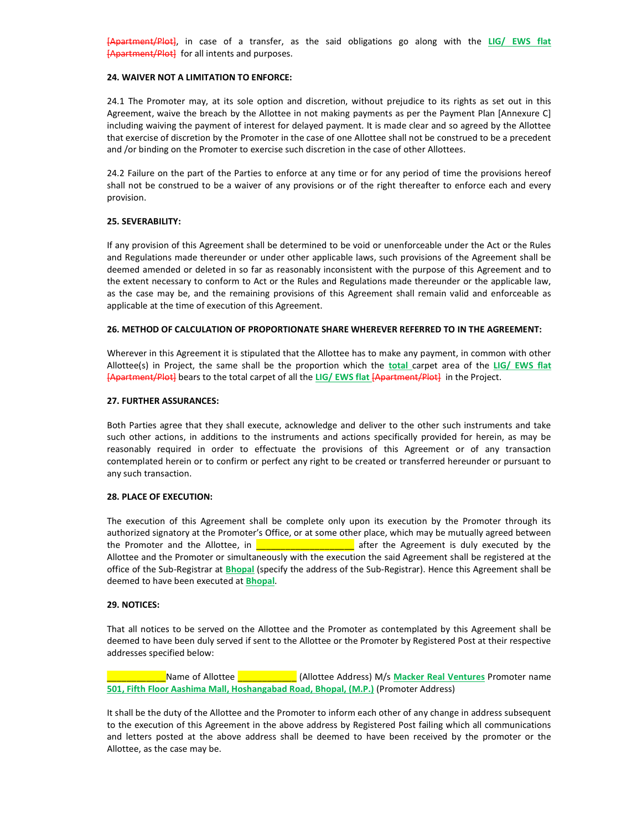[Apartment/Plot], in case of a transfer, as the said obligations go along with the LIG/ EWS flat [Apartment/Plot] for all intents and purposes.

### 24. WAIVER NOT A LIMITATION TO ENFORCE:

24.1 The Promoter may, at its sole option and discretion, without prejudice to its rights as set out in this Agreement, waive the breach by the Allottee in not making payments as per the Payment Plan [Annexure C] including waiving the payment of interest for delayed payment. It is made clear and so agreed by the Allottee that exercise of discretion by the Promoter in the case of one Allottee shall not be construed to be a precedent and /or binding on the Promoter to exercise such discretion in the case of other Allottees.

24.2 Failure on the part of the Parties to enforce at any time or for any period of time the provisions hereof shall not be construed to be a waiver of any provisions or of the right thereafter to enforce each and every provision.

# 25. SEVERABILITY:

If any provision of this Agreement shall be determined to be void or unenforceable under the Act or the Rules and Regulations made thereunder or under other applicable laws, such provisions of the Agreement shall be deemed amended or deleted in so far as reasonably inconsistent with the purpose of this Agreement and to the extent necessary to conform to Act or the Rules and Regulations made thereunder or the applicable law, as the case may be, and the remaining provisions of this Agreement shall remain valid and enforceable as applicable at the time of execution of this Agreement.

# 26. METHOD OF CALCULATION OF PROPORTIONATE SHARE WHEREVER REFERRED TO IN THE AGREEMENT:

Wherever in this Agreement it is stipulated that the Allottee has to make any payment, in common with other Allottee(s) in Project, the same shall be the proportion which the total carpet area of the LIG/ EWS flat [Apartment/Plot] bears to the total carpet of all the LIG/ EWS flat [Apartment/Plot] in the Project.

#### 27. FURTHER ASSURANCES:

Both Parties agree that they shall execute, acknowledge and deliver to the other such instruments and take such other actions, in additions to the instruments and actions specifically provided for herein, as may be reasonably required in order to effectuate the provisions of this Agreement or of any transaction contemplated herein or to confirm or perfect any right to be created or transferred hereunder or pursuant to any such transaction.

## 28. PLACE OF EXECUTION:

The execution of this Agreement shall be complete only upon its execution by the Promoter through its authorized signatory at the Promoter's Office, or at some other place, which may be mutually agreed between the Promoter and the Allottee, in **Exercise 2.1** after the Agreement is duly executed by the Allottee and the Promoter or simultaneously with the execution the said Agreement shall be registered at the office of the Sub-Registrar at **Bhopal** (specify the address of the Sub-Registrar). Hence this Agreement shall be deemed to have been executed at **Bhopal**.

#### 29. NOTICES:

That all notices to be served on the Allottee and the Promoter as contemplated by this Agreement shall be deemed to have been duly served if sent to the Allottee or the Promoter by Registered Post at their respective addresses specified below:

\_\_\_\_\_\_\_\_\_\_\_\_Name of Allottee \_\_\_\_\_\_\_\_\_\_\_\_ (Allottee Address) M/s Macker Real Ventures Promoter name 501, Fifth Floor Aashima Mall, Hoshangabad Road, Bhopal, (M.P.) (Promoter Address)

It shall be the duty of the Allottee and the Promoter to inform each other of any change in address subsequent to the execution of this Agreement in the above address by Registered Post failing which all communications and letters posted at the above address shall be deemed to have been received by the promoter or the Allottee, as the case may be.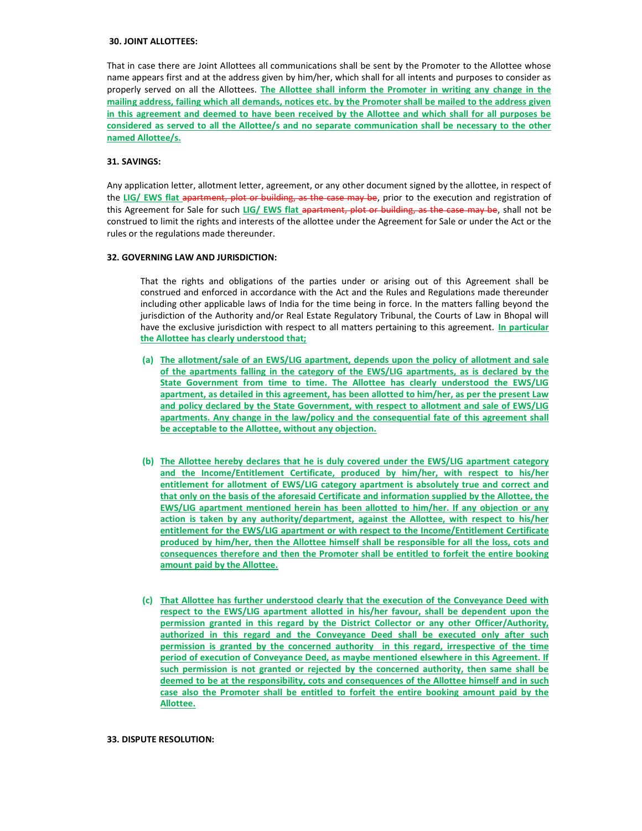## 30. JOINT ALLOTTEES:

That in case there are Joint Allottees all communications shall be sent by the Promoter to the Allottee whose name appears first and at the address given by him/her, which shall for all intents and purposes to consider as properly served on all the Allottees. The Allottee shall inform the Promoter in writing any change in the mailing address, failing which all demands, notices etc. by the Promoter shall be mailed to the address given in this agreement and deemed to have been received by the Allottee and which shall for all purposes be considered as served to all the Allottee/s and no separate communication shall be necessary to the other named Allottee/s.

### 31. SAVINGS:

Any application letter, allotment letter, agreement, or any other document signed by the allottee, in respect of the LIG/ EWS flat apartment, plot or building, as the case may be, prior to the execution and registration of this Agreement for Sale for such LIG/ EWS flat apartment, plot or building, as the case may be, shall not be construed to limit the rights and interests of the allottee under the Agreement for Sale or under the Act or the rules or the regulations made thereunder.

# 32. GOVERNING LAW AND JURISDICTION:

That the rights and obligations of the parties under or arising out of this Agreement shall be construed and enforced in accordance with the Act and the Rules and Regulations made thereunder including other applicable laws of India for the time being in force. In the matters falling beyond the jurisdiction of the Authority and/or Real Estate Regulatory Tribunal, the Courts of Law in Bhopal will have the exclusive jurisdiction with respect to all matters pertaining to this agreement. In particular the Allottee has clearly understood that;

- (a) The allotment/sale of an EWS/LIG apartment, depends upon the policy of allotment and sale of the apartments falling in the category of the EWS/LIG apartments, as is declared by the State Government from time to time. The Allottee has clearly understood the EWS/LIG apartment, as detailed in this agreement, has been allotted to him/her, as per the present Law and policy declared by the State Government, with respect to allotment and sale of EWS/LIG apartments. Any change in the law/policy and the consequential fate of this agreement shall be acceptable to the Allottee, without any objection.
- (b) The Allottee hereby declares that he is duly covered under the EWS/LIG apartment category and the Income/Entitlement Certificate, produced by him/her, with respect to his/her entitlement for allotment of EWS/LIG category apartment is absolutely true and correct and that only on the basis of the aforesaid Certificate and information supplied by the Allottee, the EWS/LIG apartment mentioned herein has been allotted to him/her. If any objection or any action is taken by any authority/department, against the Allottee, with respect to his/her entitlement for the EWS/LIG apartment or with respect to the Income/Entitlement Certificate produced by him/her, then the Allottee himself shall be responsible for all the loss, cots and consequences therefore and then the Promoter shall be entitled to forfeit the entire booking amount paid by the Allottee.
- (c) That Allottee has further understood clearly that the execution of the Conveyance Deed with respect to the EWS/LIG apartment allotted in his/her favour, shall be dependent upon the permission granted in this regard by the District Collector or any other Officer/Authority, authorized in this regard and the Conveyance Deed shall be executed only after such permission is granted by the concerned authority in this regard, irrespective of the time period of execution of Conveyance Deed, as maybe mentioned elsewhere in this Agreement. If such permission is not granted or rejected by the concerned authority, then same shall be deemed to be at the responsibility, cots and consequences of the Allottee himself and in such case also the Promoter shall be entitled to forfeit the entire booking amount paid by the Allottee.

### 33. DISPUTE RESOLUTION: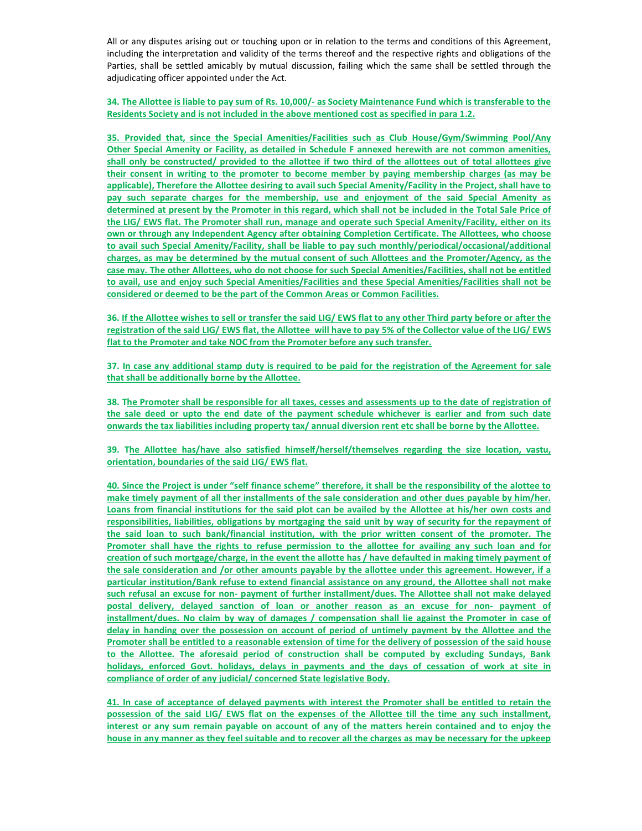All or any disputes arising out or touching upon or in relation to the terms and conditions of this Agreement, including the interpretation and validity of the terms thereof and the respective rights and obligations of the Parties, shall be settled amicably by mutual discussion, failing which the same shall be settled through the adjudicating officer appointed under the Act.

34. The Allottee is liable to pay sum of Rs. 10,000/- as Society Maintenance Fund which is transferable to the Residents Society and is not included in the above mentioned cost as specified in para 1.2.

35. Provided that, since the Special Amenities/Facilities such as Club House/Gym/Swimming Pool/Any Other Special Amenity or Facility, as detailed in Schedule F annexed herewith are not common amenities, shall only be constructed/ provided to the allottee if two third of the allottees out of total allottees give their consent in writing to the promoter to become member by paying membership charges (as may be applicable), Therefore the Allottee desiring to avail such Special Amenity/Facility in the Project, shall have to pay such separate charges for the membership, use and enjoyment of the said Special Amenity as determined at present by the Promoter in this regard, which shall not be included in the Total Sale Price of the LIG/ EWS flat. The Promoter shall run, manage and operate such Special Amenity/Facility, either on its own or through any Independent Agency after obtaining Completion Certificate. The Allottees, who choose to avail such Special Amenity/Facility, shall be liable to pay such monthly/periodical/occasional/additional charges, as may be determined by the mutual consent of such Allottees and the Promoter/Agency, as the case may. The other Allottees, who do not choose for such Special Amenities/Facilities, shall not be entitled to avail, use and enjoy such Special Amenities/Facilities and these Special Amenities/Facilities shall not be considered or deemed to be the part of the Common Areas or Common Facilities.

36. If the Allottee wishes to sell or transfer the said LIG/ EWS flat to any other Third party before or after the registration of the said LIG/ EWS flat, the Allottee will have to pay 5% of the Collector value of the LIG/ EWS flat to the Promoter and take NOC from the Promoter before any such transfer.

37. In case any additional stamp duty is required to be paid for the registration of the Agreement for sale that shall be additionally borne by the Allottee.

38. The Promoter shall be responsible for all taxes, cesses and assessments up to the date of registration of the sale deed or upto the end date of the payment schedule whichever is earlier and from such date onwards the tax liabilities including property tax/ annual diversion rent etc shall be borne by the Allottee.

39. The Allottee has/have also satisfied himself/herself/themselves regarding the size location, vastu, orientation, boundaries of the said LIG/ EWS flat.

40. Since the Project is under "self finance scheme" therefore, it shall be the responsibility of the alottee to make timely payment of all ther installments of the sale consideration and other dues payable by him/her. Loans from financial institutions for the said plot can be availed by the Allottee at his/her own costs and responsibilities, liabilities, obligations by mortgaging the said unit by way of security for the repayment of the said loan to such bank/financial institution, with the prior written consent of the promoter. The Promoter shall have the rights to refuse permission to the allottee for availing any such loan and for creation of such mortgage/charge, in the event the allotte has / have defaulted in making timely payment of the sale consideration and /or other amounts payable by the allottee under this agreement. However, if a particular institution/Bank refuse to extend financial assistance on any ground, the Allottee shall not make such refusal an excuse for non- payment of further installment/dues. The Allottee shall not make delayed postal delivery, delayed sanction of loan or another reason as an excuse for non- payment of installment/dues. No claim by way of damages / compensation shall lie against the Promoter in case of delay in handing over the possession on account of period of untimely payment by the Allottee and the Promoter shall be entitled to a reasonable extension of time for the delivery of possession of the said house to the Allottee. The aforesaid period of construction shall be computed by excluding Sundays, Bank holidays, enforced Govt. holidays, delays in payments and the days of cessation of work at site in compliance of order of any judicial/ concerned State legislative Body.

41. In case of acceptance of delayed payments with interest the Promoter shall be entitled to retain the possession of the said LIG/ EWS flat on the expenses of the Allottee till the time any such installment, interest or any sum remain payable on account of any of the matters herein contained and to enjoy the house in any manner as they feel suitable and to recover all the charges as may be necessary for the upkeep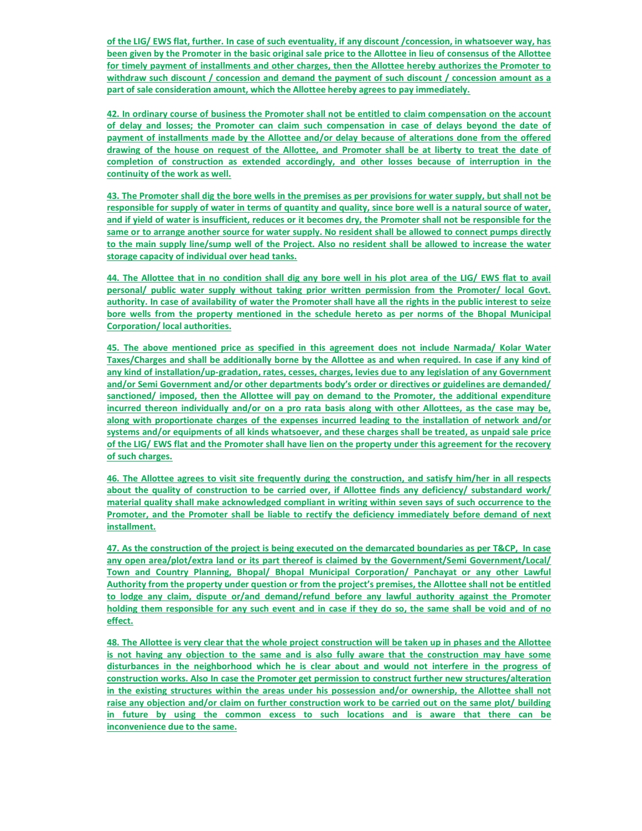of the LIG/ EWS flat, further. In case of such eventuality, if any discount /concession, in whatsoever way, has been given by the Promoter in the basic original sale price to the Allottee in lieu of consensus of the Allottee for timely payment of installments and other charges, then the Allottee hereby authorizes the Promoter to withdraw such discount / concession and demand the payment of such discount / concession amount as a part of sale consideration amount, which the Allottee hereby agrees to pay immediately.

42. In ordinary course of business the Promoter shall not be entitled to claim compensation on the account of delay and losses; the Promoter can claim such compensation in case of delays beyond the date of payment of installments made by the Allottee and/or delay because of alterations done from the offered drawing of the house on request of the Allottee, and Promoter shall be at liberty to treat the date of completion of construction as extended accordingly, and other losses because of interruption in the continuity of the work as well.

43. The Promoter shall dig the bore wells in the premises as per provisions for water supply, but shall not be responsible for supply of water in terms of quantity and quality, since bore well is a natural source of water, and if yield of water is insufficient, reduces or it becomes dry, the Promoter shall not be responsible for the same or to arrange another source for water supply. No resident shall be allowed to connect pumps directly to the main supply line/sump well of the Project. Also no resident shall be allowed to increase the water storage capacity of individual over head tanks.

44. The Allottee that in no condition shall dig any bore well in his plot area of the LIG/ EWS flat to avail personal/ public water supply without taking prior written permission from the Promoter/ local Govt. authority. In case of availability of water the Promoter shall have all the rights in the public interest to seize bore wells from the property mentioned in the schedule hereto as per norms of the Bhopal Municipal Corporation/ local authorities.

45. The above mentioned price as specified in this agreement does not include Narmada/ Kolar Water Taxes/Charges and shall be additionally borne by the Allottee as and when required. In case if any kind of any kind of installation/up-gradation, rates, cesses, charges, levies due to any legislation of any Government and/or Semi Government and/or other departments body's order or directives or guidelines are demanded/ sanctioned/ imposed, then the Allottee will pay on demand to the Promoter, the additional expenditure incurred thereon individually and/or on a pro rata basis along with other Allottees, as the case may be, along with proportionate charges of the expenses incurred leading to the installation of network and/or systems and/or equipments of all kinds whatsoever, and these charges shall be treated, as unpaid sale price of the LIG/ EWS flat and the Promoter shall have lien on the property under this agreement for the recovery of such charges.

46. The Allottee agrees to visit site frequently during the construction, and satisfy him/her in all respects about the quality of construction to be carried over, if Allottee finds any deficiency/ substandard work/ material quality shall make acknowledged compliant in writing within seven says of such occurrence to the Promoter, and the Promoter shall be liable to rectify the deficiency immediately before demand of next installment.

47. As the construction of the project is being executed on the demarcated boundaries as per T&CP, In case any open area/plot/extra land or its part thereof is claimed by the Government/Semi Government/Local/ Town and Country Planning, Bhopal/ Bhopal Municipal Corporation/ Panchayat or any other Lawful Authority from the property under question or from the project's premises, the Allottee shall not be entitled to lodge any claim, dispute or/and demand/refund before any lawful authority against the Promoter holding them responsible for any such event and in case if they do so, the same shall be void and of no effect.

48. The Allottee is very clear that the whole project construction will be taken up in phases and the Allottee is not having any objection to the same and is also fully aware that the construction may have some disturbances in the neighborhood which he is clear about and would not interfere in the progress of construction works. Also In case the Promoter get permission to construct further new structures/alteration in the existing structures within the areas under his possession and/or ownership, the Allottee shall not raise any objection and/or claim on further construction work to be carried out on the same plot/ building in future by using the common excess to such locations and is aware that there can be inconvenience due to the same.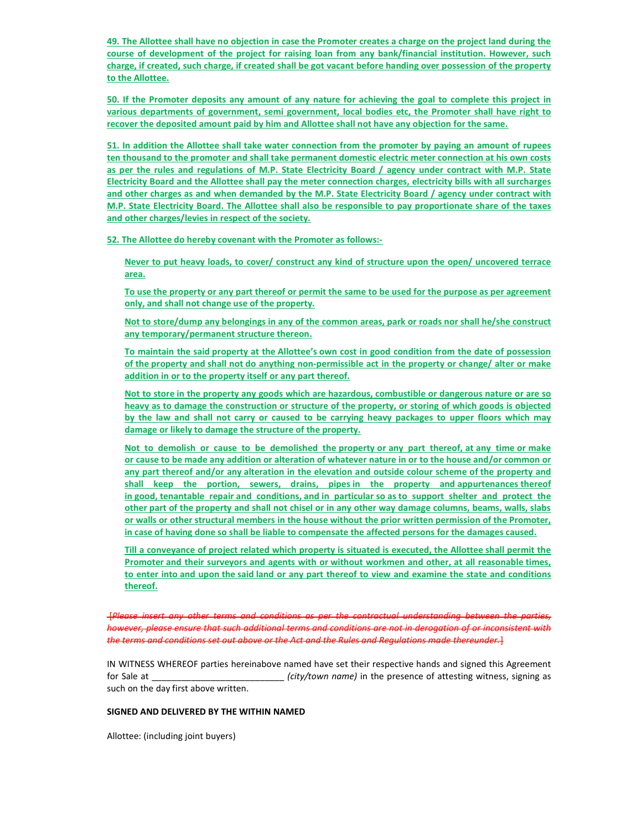49. The Allottee shall have no objection in case the Promoter creates a charge on the project land during the course of development of the project for raising loan from any bank/financial institution. However, such charge, if created, such charge, if created shall be got vacant before handing over possession of the property to the Allottee.

50. If the Promoter deposits any amount of any nature for achieving the goal to complete this project in various departments of government, semi government, local bodies etc, the Promoter shall have right to recover the deposited amount paid by him and Allottee shall not have any objection for the same.

51. In addition the Allottee shall take water connection from the promoter by paying an amount of rupees ten thousand to the promoter and shall take permanent domestic electric meter connection at his own costs as per the rules and regulations of M.P. State Electricity Board / agency under contract with M.P. State Electricity Board and the Allottee shall pay the meter connection charges, electricity bills with all surcharges and other charges as and when demanded by the M.P. State Electricity Board / agency under contract with M.P. State Electricity Board. The Allottee shall also be responsible to pay proportionate share of the taxes and other charges/levies in respect of the society.

52. The Allottee do hereby covenant with the Promoter as follows:-

Never to put heavy loads, to cover/ construct any kind of structure upon the open/ uncovered terrace area.

To use the property or any part thereof or permit the same to be used for the purpose as per agreement only, and shall not change use of the property.

Not to store/dump any belongings in any of the common areas, park or roads nor shall he/she construct any temporary/permanent structure thereon.

To maintain the said property at the Allottee's own cost in good condition from the date of possession of the property and shall not do anything non-permissible act in the property or change/ alter or make addition in or to the property itself or any part thereof.

Not to store in the property any goods which are hazardous, combustible or dangerous nature or are so heavy as to damage the construction or structure of the property, or storing of which goods is objected by the law and shall not carry or caused to be carrying heavy packages to upper floors which may damage or likely to damage the structure of the property.

Not to demolish or cause to be demolished the property or any part thereof, at any time or make or cause to be made any addition or alteration of whatever nature in or to the house and/or common or any part thereof and/or any alteration in the elevation and outside colour scheme of the property and shall keep the portion, sewers, drains, pipes in the property and appurtenances thereof in good, tenantable repair and conditions, and in particular so as to support shelter and protect the other part of the property and shall not chisel or in any other way damage columns, beams, walls, slabs or walls or other structural members in the house without the prior written permission of the Promoter, in case of having done so shall be liable to compensate the affected persons for the damages caused.

Till a conveyance of project related which property is situated is executed, the Allottee shall permit the Promoter and their surveyors and agents with or without workmen and other, at all reasonable times, to enter into and upon the said land or any part thereof to view and examine the state and conditions thereof.

 [Please insert any other terms and conditions as per the contractual understanding between the parties, however, please ensure that such additional terms and conditions are not in derogation of or inconsistent with the terms and conditions set out above or the Act and the Rules and Regulations made thereunder.}

IN WITNESS WHEREOF parties hereinabove named have set their respective hands and signed this Agreement for Sale at The Sale at all the set of attesting witness, signing as  $\frac{1}{2}$  (city/town name) in the presence of attesting witness, signing as such on the day first above written.

### SIGNED AND DELIVERED BY THE WITHIN NAMED

Allottee: (including joint buyers)